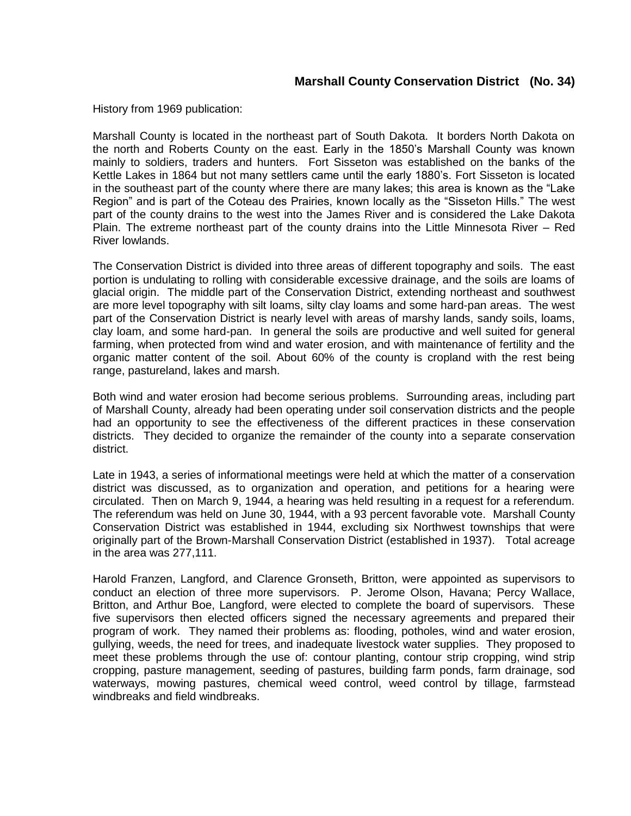## **Marshall County Conservation District (No. 34)**

History from 1969 publication:

Marshall County is located in the northeast part of South Dakota. It borders North Dakota on the north and Roberts County on the east. Early in the 1850's Marshall County was known mainly to soldiers, traders and hunters. Fort Sisseton was established on the banks of the Kettle Lakes in 1864 but not many settlers came until the early 1880's. Fort Sisseton is located in the southeast part of the county where there are many lakes; this area is known as the "Lake Region" and is part of the Coteau des Prairies, known locally as the "Sisseton Hills." The west part of the county drains to the west into the James River and is considered the Lake Dakota Plain. The extreme northeast part of the county drains into the Little Minnesota River – Red River lowlands.

The Conservation District is divided into three areas of different topography and soils. The east portion is undulating to rolling with considerable excessive drainage, and the soils are loams of glacial origin. The middle part of the Conservation District, extending northeast and southwest are more level topography with silt loams, silty clay loams and some hard-pan areas. The west part of the Conservation District is nearly level with areas of marshy lands, sandy soils, loams, clay loam, and some hard-pan. In general the soils are productive and well suited for general farming, when protected from wind and water erosion, and with maintenance of fertility and the organic matter content of the soil. About 60% of the county is cropland with the rest being range, pastureland, lakes and marsh.

Both wind and water erosion had become serious problems. Surrounding areas, including part of Marshall County, already had been operating under soil conservation districts and the people had an opportunity to see the effectiveness of the different practices in these conservation districts. They decided to organize the remainder of the county into a separate conservation district.

Late in 1943, a series of informational meetings were held at which the matter of a conservation district was discussed, as to organization and operation, and petitions for a hearing were circulated. Then on March 9, 1944, a hearing was held resulting in a request for a referendum. The referendum was held on June 30, 1944, with a 93 percent favorable vote. Marshall County Conservation District was established in 1944, excluding six Northwest townships that were originally part of the Brown-Marshall Conservation District (established in 1937). Total acreage in the area was 277,111.

Harold Franzen, Langford, and Clarence Gronseth, Britton, were appointed as supervisors to conduct an election of three more supervisors. P. Jerome Olson, Havana; Percy Wallace, Britton, and Arthur Boe, Langford, were elected to complete the board of supervisors. These five supervisors then elected officers signed the necessary agreements and prepared their program of work. They named their problems as: flooding, potholes, wind and water erosion, gullying, weeds, the need for trees, and inadequate livestock water supplies. They proposed to meet these problems through the use of: contour planting, contour strip cropping, wind strip cropping, pasture management, seeding of pastures, building farm ponds, farm drainage, sod waterways, mowing pastures, chemical weed control, weed control by tillage, farmstead windbreaks and field windbreaks.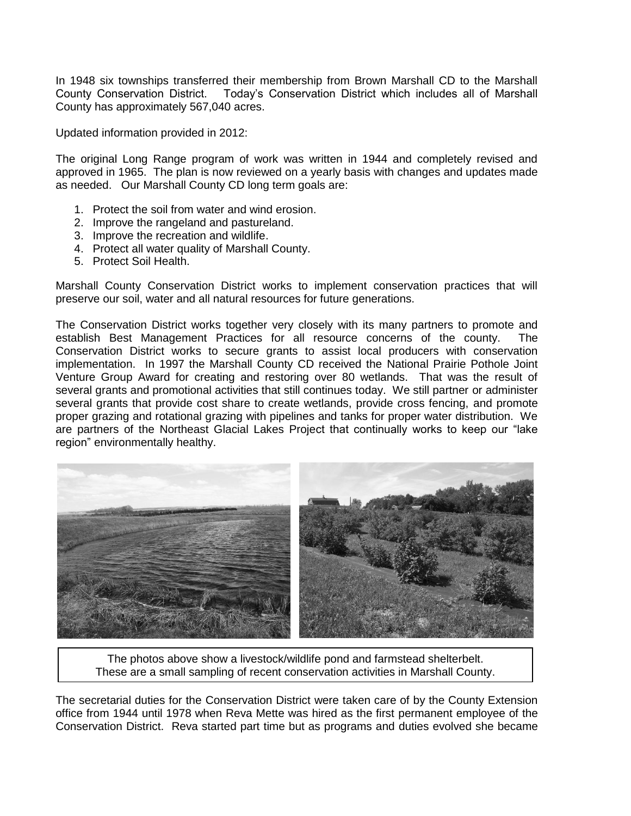In 1948 six townships transferred their membership from Brown Marshall CD to the Marshall County Conservation District. Today's Conservation District which includes all of Marshall County has approximately 567,040 acres.

Updated information provided in 2012:

The original Long Range program of work was written in 1944 and completely revised and approved in 1965. The plan is now reviewed on a yearly basis with changes and updates made as needed. Our Marshall County CD long term goals are:

- 1. Protect the soil from water and wind erosion.
- 2. Improve the rangeland and pastureland.
- 3. Improve the recreation and wildlife.
- 4. Protect all water quality of Marshall County.
- 5. Protect Soil Health.

Marshall County Conservation District works to implement conservation practices that will preserve our soil, water and all natural resources for future generations.

The Conservation District works together very closely with its many partners to promote and establish Best Management Practices for all resource concerns of the county. The Conservation District works to secure grants to assist local producers with conservation implementation. In 1997 the Marshall County CD received the National Prairie Pothole Joint Venture Group Award for creating and restoring over 80 wetlands. That was the result of several grants and promotional activities that still continues today. We still partner or administer several grants that provide cost share to create wetlands, provide cross fencing, and promote proper grazing and rotational grazing with pipelines and tanks for proper water distribution. We are partners of the Northeast Glacial Lakes Project that continually works to keep our "lake region" environmentally healthy.



The photos above show a livestock/wildlife pond and farmstead shelterbelt. These are a small sampling of recent conservation activities in Marshall County.

The secretarial duties for the Conservation District were taken care of by the County Extension office from 1944 until 1978 when Reva Mette was hired as the first permanent employee of the Conservation District. Reva started part time but as programs and duties evolved she became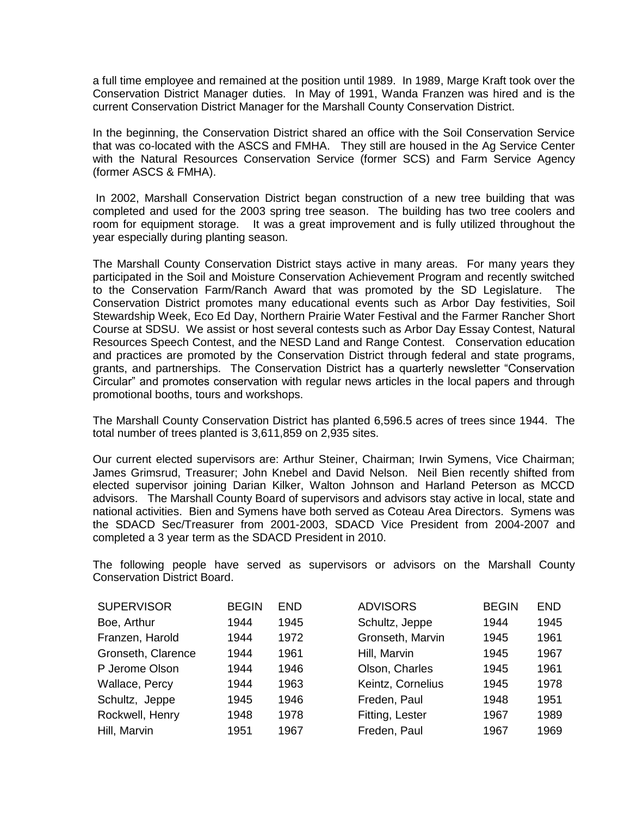a full time employee and remained at the position until 1989. In 1989, Marge Kraft took over the Conservation District Manager duties. In May of 1991, Wanda Franzen was hired and is the current Conservation District Manager for the Marshall County Conservation District.

In the beginning, the Conservation District shared an office with the Soil Conservation Service that was co-located with the ASCS and FMHA. They still are housed in the Ag Service Center with the Natural Resources Conservation Service (former SCS) and Farm Service Agency (former ASCS & FMHA).

In 2002, Marshall Conservation District began construction of a new tree building that was completed and used for the 2003 spring tree season. The building has two tree coolers and room for equipment storage. It was a great improvement and is fully utilized throughout the year especially during planting season.

The Marshall County Conservation District stays active in many areas. For many years they participated in the Soil and Moisture Conservation Achievement Program and recently switched to the Conservation Farm/Ranch Award that was promoted by the SD Legislature. The Conservation District promotes many educational events such as Arbor Day festivities, Soil Stewardship Week, Eco Ed Day, Northern Prairie Water Festival and the Farmer Rancher Short Course at SDSU. We assist or host several contests such as Arbor Day Essay Contest, Natural Resources Speech Contest, and the NESD Land and Range Contest. Conservation education and practices are promoted by the Conservation District through federal and state programs, grants, and partnerships. The Conservation District has a quarterly newsletter "Conservation Circular" and promotes conservation with regular news articles in the local papers and through promotional booths, tours and workshops.

The Marshall County Conservation District has planted 6,596.5 acres of trees since 1944. The total number of trees planted is 3,611,859 on 2,935 sites.

Our current elected supervisors are: Arthur Steiner, Chairman; Irwin Symens, Vice Chairman; James Grimsrud, Treasurer; John Knebel and David Nelson. Neil Bien recently shifted from elected supervisor joining Darian Kilker, Walton Johnson and Harland Peterson as MCCD advisors. The Marshall County Board of supervisors and advisors stay active in local, state and national activities. Bien and Symens have both served as Coteau Area Directors. Symens was the SDACD Sec/Treasurer from 2001-2003, SDACD Vice President from 2004-2007 and completed a 3 year term as the SDACD President in 2010.

The following people have served as supervisors or advisors on the Marshall County Conservation District Board.

| <b>SUPERVISOR</b>  | <b>BEGIN</b> | <b>END</b> | <b>ADVISORS</b>   | <b>BEGIN</b> | <b>END</b> |
|--------------------|--------------|------------|-------------------|--------------|------------|
| Boe, Arthur        | 1944         | 1945       | Schultz, Jeppe    | 1944         | 1945       |
| Franzen, Harold    | 1944         | 1972       | Gronseth, Marvin  | 1945         | 1961       |
| Gronseth, Clarence | 1944         | 1961       | Hill, Marvin      | 1945         | 1967       |
| P Jerome Olson     | 1944         | 1946       | Olson, Charles    | 1945         | 1961       |
| Wallace, Percy     | 1944         | 1963       | Keintz, Cornelius | 1945         | 1978       |
| Schultz, Jeppe     | 1945         | 1946       | Freden, Paul      | 1948         | 1951       |
| Rockwell, Henry    | 1948         | 1978       | Fitting, Lester   | 1967         | 1989       |
| Hill, Marvin       | 1951         | 1967       | Freden, Paul      | 1967         | 1969       |